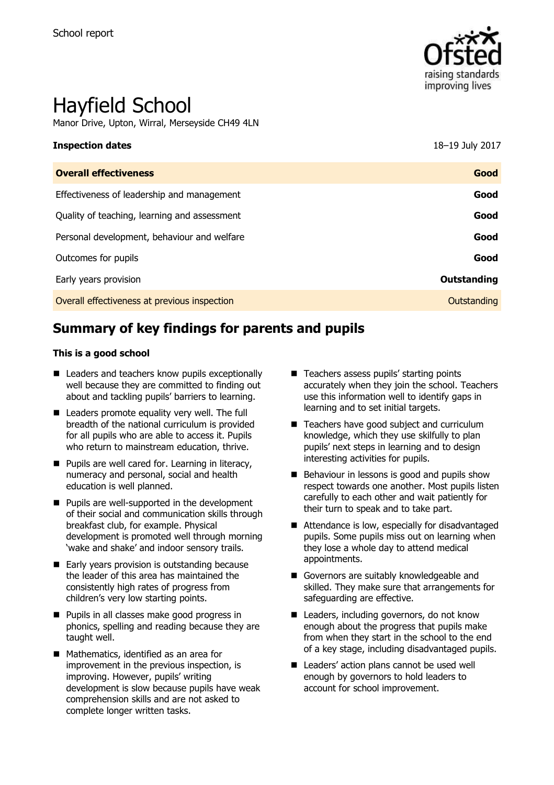

# Hayfield School

Manor Drive, Upton, Wirral, Merseyside CH49 4LN

# **Inspection dates** 18–19 July 2017

| <b>Overall effectiveness</b>                 | Good        |
|----------------------------------------------|-------------|
| Effectiveness of leadership and management   | Good        |
| Quality of teaching, learning and assessment | Good        |
| Personal development, behaviour and welfare  | Good        |
| Outcomes for pupils                          | Good        |
| Early years provision                        | Outstanding |
| Overall effectiveness at previous inspection | Outstanding |

# **Summary of key findings for parents and pupils**

#### **This is a good school**

- Leaders and teachers know pupils exceptionally well because they are committed to finding out about and tackling pupils' barriers to learning.
- Leaders promote equality very well. The full breadth of the national curriculum is provided for all pupils who are able to access it. Pupils who return to mainstream education, thrive.
- **Pupils are well cared for. Learning in literacy,** numeracy and personal, social and health education is well planned.
- **Pupils are well-supported in the development** of their social and communication skills through breakfast club, for example. Physical development is promoted well through morning 'wake and shake' and indoor sensory trails.
- Early years provision is outstanding because the leader of this area has maintained the consistently high rates of progress from children's very low starting points.
- **Pupils in all classes make good progress in** phonics, spelling and reading because they are taught well.
- Mathematics, identified as an area for improvement in the previous inspection, is improving. However, pupils' writing development is slow because pupils have weak comprehension skills and are not asked to complete longer written tasks.
- Teachers assess pupils' starting points accurately when they join the school. Teachers use this information well to identify gaps in learning and to set initial targets.
- Teachers have good subject and curriculum knowledge, which they use skilfully to plan pupils' next steps in learning and to design interesting activities for pupils.
- Behaviour in lessons is good and pupils show respect towards one another. Most pupils listen carefully to each other and wait patiently for their turn to speak and to take part.
- Attendance is low, especially for disadvantaged pupils. Some pupils miss out on learning when they lose a whole day to attend medical appointments.
- Governors are suitably knowledgeable and skilled. They make sure that arrangements for safeguarding are effective.
- Leaders, including governors, do not know enough about the progress that pupils make from when they start in the school to the end of a key stage, including disadvantaged pupils.
- Leaders' action plans cannot be used well enough by governors to hold leaders to account for school improvement.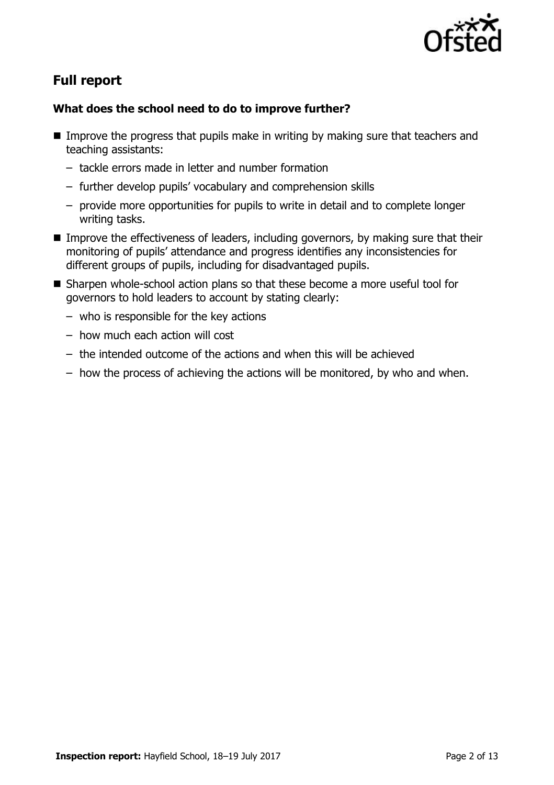

# **Full report**

# **What does the school need to do to improve further?**

- Improve the progress that pupils make in writing by making sure that teachers and teaching assistants:
	- tackle errors made in letter and number formation
	- further develop pupils' vocabulary and comprehension skills
	- provide more opportunities for pupils to write in detail and to complete longer writing tasks.
- **IMPROVE THE EFFECT INCOCES OF LEADERS, including governors, by making sure that their** monitoring of pupils' attendance and progress identifies any inconsistencies for different groups of pupils, including for disadvantaged pupils.
- Sharpen whole-school action plans so that these become a more useful tool for governors to hold leaders to account by stating clearly:
	- who is responsible for the key actions
	- how much each action will cost
	- the intended outcome of the actions and when this will be achieved
	- how the process of achieving the actions will be monitored, by who and when.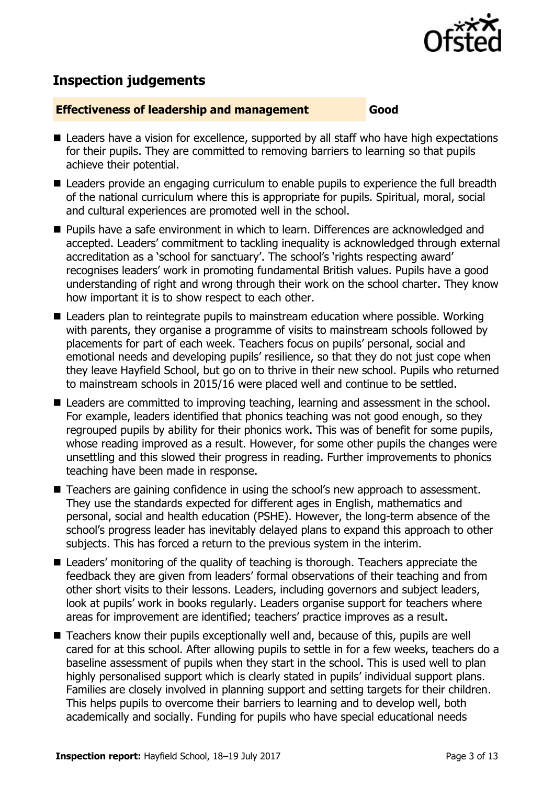

# **Inspection judgements**

#### **Effectiveness of leadership and management Good**

- Leaders have a vision for excellence, supported by all staff who have high expectations for their pupils. They are committed to removing barriers to learning so that pupils achieve their potential.
- Leaders provide an engaging curriculum to enable pupils to experience the full breadth of the national curriculum where this is appropriate for pupils. Spiritual, moral, social and cultural experiences are promoted well in the school.
- **Pupils have a safe environment in which to learn. Differences are acknowledged and** accepted. Leaders' commitment to tackling inequality is acknowledged through external accreditation as a 'school for sanctuary'. The school's 'rights respecting award' recognises leaders' work in promoting fundamental British values. Pupils have a good understanding of right and wrong through their work on the school charter. They know how important it is to show respect to each other.
- Leaders plan to reintegrate pupils to mainstream education where possible. Working with parents, they organise a programme of visits to mainstream schools followed by placements for part of each week. Teachers focus on pupils' personal, social and emotional needs and developing pupils' resilience, so that they do not just cope when they leave Hayfield School, but go on to thrive in their new school. Pupils who returned to mainstream schools in 2015/16 were placed well and continue to be settled.
- Leaders are committed to improving teaching, learning and assessment in the school. For example, leaders identified that phonics teaching was not good enough, so they regrouped pupils by ability for their phonics work. This was of benefit for some pupils, whose reading improved as a result. However, for some other pupils the changes were unsettling and this slowed their progress in reading. Further improvements to phonics teaching have been made in response.
- Teachers are gaining confidence in using the school's new approach to assessment. They use the standards expected for different ages in English, mathematics and personal, social and health education (PSHE). However, the long-term absence of the school's progress leader has inevitably delayed plans to expand this approach to other subjects. This has forced a return to the previous system in the interim.
- Leaders' monitoring of the quality of teaching is thorough. Teachers appreciate the feedback they are given from leaders' formal observations of their teaching and from other short visits to their lessons. Leaders, including governors and subject leaders, look at pupils' work in books regularly. Leaders organise support for teachers where areas for improvement are identified; teachers' practice improves as a result.
- Teachers know their pupils exceptionally well and, because of this, pupils are well cared for at this school. After allowing pupils to settle in for a few weeks, teachers do a baseline assessment of pupils when they start in the school. This is used well to plan highly personalised support which is clearly stated in pupils' individual support plans. Families are closely involved in planning support and setting targets for their children. This helps pupils to overcome their barriers to learning and to develop well, both academically and socially. Funding for pupils who have special educational needs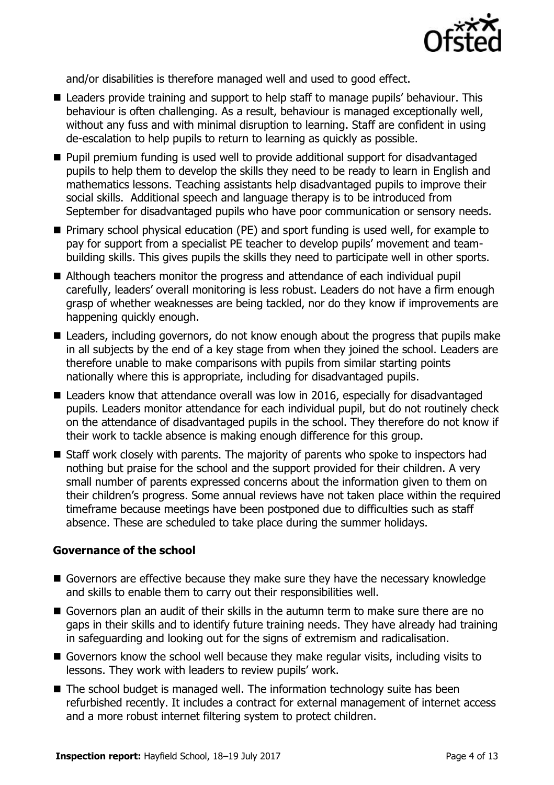

and/or disabilities is therefore managed well and used to good effect.

- Leaders provide training and support to help staff to manage pupils' behaviour. This behaviour is often challenging. As a result, behaviour is managed exceptionally well, without any fuss and with minimal disruption to learning. Staff are confident in using de-escalation to help pupils to return to learning as quickly as possible.
- **Pupil premium funding is used well to provide additional support for disadvantaged** pupils to help them to develop the skills they need to be ready to learn in English and mathematics lessons. Teaching assistants help disadvantaged pupils to improve their social skills. Additional speech and language therapy is to be introduced from September for disadvantaged pupils who have poor communication or sensory needs.
- **Primary school physical education (PE) and sport funding is used well, for example to** pay for support from a specialist PE teacher to develop pupils' movement and teambuilding skills. This gives pupils the skills they need to participate well in other sports.
- Although teachers monitor the progress and attendance of each individual pupil carefully, leaders' overall monitoring is less robust. Leaders do not have a firm enough grasp of whether weaknesses are being tackled, nor do they know if improvements are happening quickly enough.
- Leaders, including governors, do not know enough about the progress that pupils make in all subjects by the end of a key stage from when they joined the school. Leaders are therefore unable to make comparisons with pupils from similar starting points nationally where this is appropriate, including for disadvantaged pupils.
- Leaders know that attendance overall was low in 2016, especially for disadvantaged pupils. Leaders monitor attendance for each individual pupil, but do not routinely check on the attendance of disadvantaged pupils in the school. They therefore do not know if their work to tackle absence is making enough difference for this group.
- Staff work closely with parents. The majority of parents who spoke to inspectors had nothing but praise for the school and the support provided for their children. A very small number of parents expressed concerns about the information given to them on their children's progress. Some annual reviews have not taken place within the required timeframe because meetings have been postponed due to difficulties such as staff absence. These are scheduled to take place during the summer holidays.

### **Governance of the school**

- Governors are effective because they make sure they have the necessary knowledge and skills to enable them to carry out their responsibilities well.
- Governors plan an audit of their skills in the autumn term to make sure there are no gaps in their skills and to identify future training needs. They have already had training in safeguarding and looking out for the signs of extremism and radicalisation.
- Governors know the school well because they make regular visits, including visits to lessons. They work with leaders to review pupils' work.
- The school budget is managed well. The information technology suite has been refurbished recently. It includes a contract for external management of internet access and a more robust internet filtering system to protect children.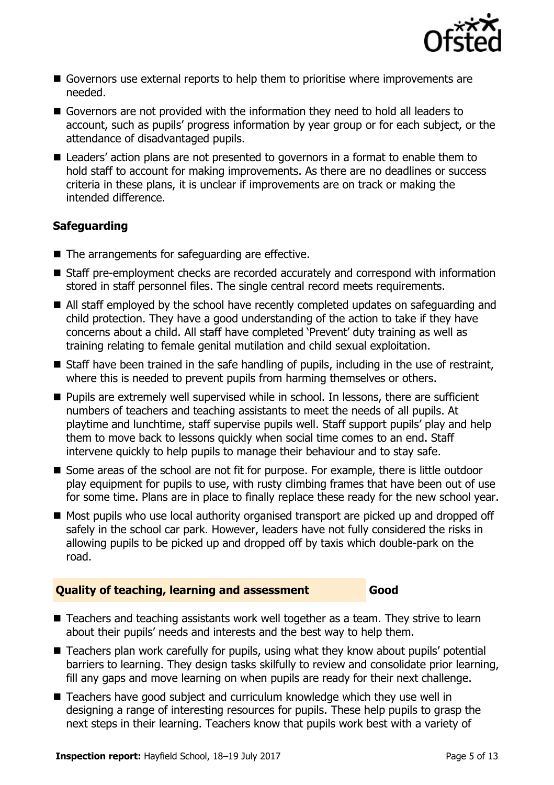

- Governors use external reports to help them to prioritise where improvements are needed.
- Governors are not provided with the information they need to hold all leaders to account, such as pupils' progress information by year group or for each subject, or the attendance of disadvantaged pupils.
- Leaders' action plans are not presented to governors in a format to enable them to hold staff to account for making improvements. As there are no deadlines or success criteria in these plans, it is unclear if improvements are on track or making the intended difference.

# **Safeguarding**

- $\blacksquare$  The arrangements for safeguarding are effective.
- Staff pre-employment checks are recorded accurately and correspond with information stored in staff personnel files. The single central record meets requirements.
- All staff employed by the school have recently completed updates on safeguarding and child protection. They have a good understanding of the action to take if they have concerns about a child. All staff have completed 'Prevent' duty training as well as training relating to female genital mutilation and child sexual exploitation.
- Staff have been trained in the safe handling of pupils, including in the use of restraint, where this is needed to prevent pupils from harming themselves or others.
- **Pupils are extremely well supervised while in school. In lessons, there are sufficient** numbers of teachers and teaching assistants to meet the needs of all pupils. At playtime and lunchtime, staff supervise pupils well. Staff support pupils' play and help them to move back to lessons quickly when social time comes to an end. Staff intervene quickly to help pupils to manage their behaviour and to stay safe.
- Some areas of the school are not fit for purpose. For example, there is little outdoor play equipment for pupils to use, with rusty climbing frames that have been out of use for some time. Plans are in place to finally replace these ready for the new school year.
- Most pupils who use local authority organised transport are picked up and dropped off safely in the school car park. However, leaders have not fully considered the risks in allowing pupils to be picked up and dropped off by taxis which double-park on the road.

# **Quality of teaching, learning and assessment Good**

- Teachers and teaching assistants work well together as a team. They strive to learn about their pupils' needs and interests and the best way to help them.
- Teachers plan work carefully for pupils, using what they know about pupils' potential barriers to learning. They design tasks skilfully to review and consolidate prior learning, fill any gaps and move learning on when pupils are ready for their next challenge.
- Teachers have good subject and curriculum knowledge which they use well in designing a range of interesting resources for pupils. These help pupils to grasp the next steps in their learning. Teachers know that pupils work best with a variety of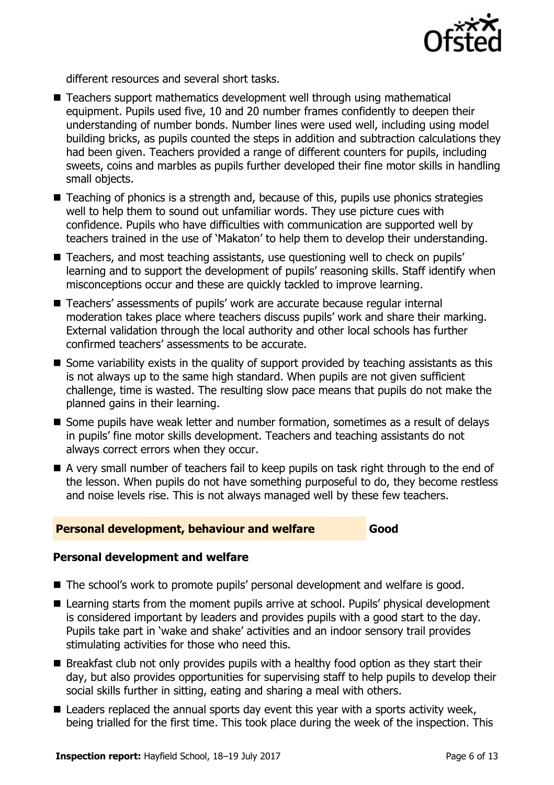

different resources and several short tasks.

- Teachers support mathematics development well through using mathematical equipment. Pupils used five, 10 and 20 number frames confidently to deepen their understanding of number bonds. Number lines were used well, including using model building bricks, as pupils counted the steps in addition and subtraction calculations they had been given. Teachers provided a range of different counters for pupils, including sweets, coins and marbles as pupils further developed their fine motor skills in handling small objects.
- Teaching of phonics is a strength and, because of this, pupils use phonics strategies well to help them to sound out unfamiliar words. They use picture cues with confidence. Pupils who have difficulties with communication are supported well by teachers trained in the use of 'Makaton' to help them to develop their understanding.
- Teachers, and most teaching assistants, use questioning well to check on pupils' learning and to support the development of pupils' reasoning skills. Staff identify when misconceptions occur and these are quickly tackled to improve learning.
- Teachers' assessments of pupils' work are accurate because reqular internal moderation takes place where teachers discuss pupils' work and share their marking. External validation through the local authority and other local schools has further confirmed teachers' assessments to be accurate.
- Some variability exists in the quality of support provided by teaching assistants as this is not always up to the same high standard. When pupils are not given sufficient challenge, time is wasted. The resulting slow pace means that pupils do not make the planned gains in their learning.
- Some pupils have weak letter and number formation, sometimes as a result of delays in pupils' fine motor skills development. Teachers and teaching assistants do not always correct errors when they occur.
- A very small number of teachers fail to keep pupils on task right through to the end of the lesson. When pupils do not have something purposeful to do, they become restless and noise levels rise. This is not always managed well by these few teachers.

### **Personal development, behaviour and welfare Good**

# **Personal development and welfare**

- The school's work to promote pupils' personal development and welfare is good.
- Learning starts from the moment pupils arrive at school. Pupils' physical development is considered important by leaders and provides pupils with a good start to the day. Pupils take part in 'wake and shake' activities and an indoor sensory trail provides stimulating activities for those who need this.
- Breakfast club not only provides pupils with a healthy food option as they start their day, but also provides opportunities for supervising staff to help pupils to develop their social skills further in sitting, eating and sharing a meal with others.
- Leaders replaced the annual sports day event this year with a sports activity week, being trialled for the first time. This took place during the week of the inspection. This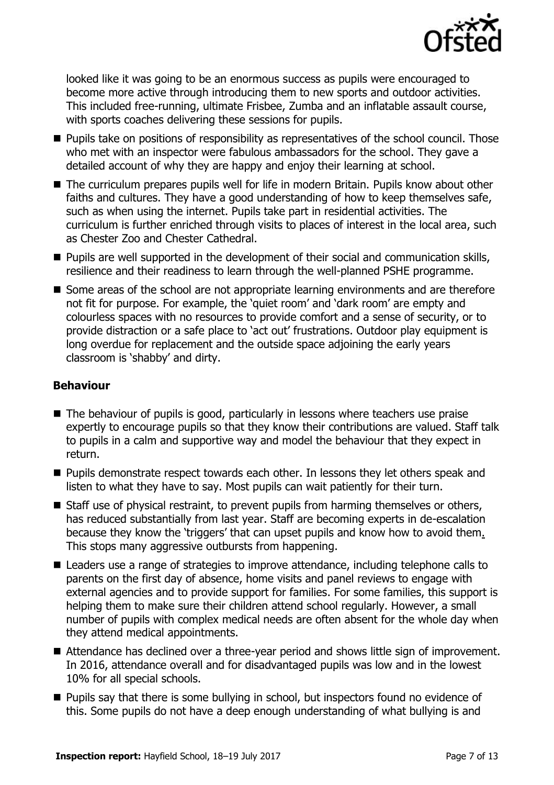

looked like it was going to be an enormous success as pupils were encouraged to become more active through introducing them to new sports and outdoor activities. This included free-running, ultimate Frisbee, Zumba and an inflatable assault course, with sports coaches delivering these sessions for pupils.

- **Pupils take on positions of responsibility as representatives of the school council. Those** who met with an inspector were fabulous ambassadors for the school. They gave a detailed account of why they are happy and enjoy their learning at school.
- The curriculum prepares pupils well for life in modern Britain. Pupils know about other faiths and cultures. They have a good understanding of how to keep themselves safe, such as when using the internet. Pupils take part in residential activities. The curriculum is further enriched through visits to places of interest in the local area, such as Chester Zoo and Chester Cathedral.
- **Pupils are well supported in the development of their social and communication skills,** resilience and their readiness to learn through the well-planned PSHE programme.
- Some areas of the school are not appropriate learning environments and are therefore not fit for purpose. For example, the 'quiet room' and 'dark room' are empty and colourless spaces with no resources to provide comfort and a sense of security, or to provide distraction or a safe place to 'act out' frustrations. Outdoor play equipment is long overdue for replacement and the outside space adjoining the early years classroom is 'shabby' and dirty.

# **Behaviour**

- The behaviour of pupils is good, particularly in lessons where teachers use praise expertly to encourage pupils so that they know their contributions are valued. Staff talk to pupils in a calm and supportive way and model the behaviour that they expect in return.
- **Pupils demonstrate respect towards each other. In lessons they let others speak and** listen to what they have to say. Most pupils can wait patiently for their turn.
- Staff use of physical restraint, to prevent pupils from harming themselves or others, has reduced substantially from last year. Staff are becoming experts in de-escalation because they know the 'triggers' that can upset pupils and know how to avoid them. This stops many aggressive outbursts from happening.
- Leaders use a range of strategies to improve attendance, including telephone calls to parents on the first day of absence, home visits and panel reviews to engage with external agencies and to provide support for families. For some families, this support is helping them to make sure their children attend school regularly. However, a small number of pupils with complex medical needs are often absent for the whole day when they attend medical appointments.
- Attendance has declined over a three-year period and shows little sign of improvement. In 2016, attendance overall and for disadvantaged pupils was low and in the lowest 10% for all special schools.
- **Pupils say that there is some bullying in school, but inspectors found no evidence of** this. Some pupils do not have a deep enough understanding of what bullying is and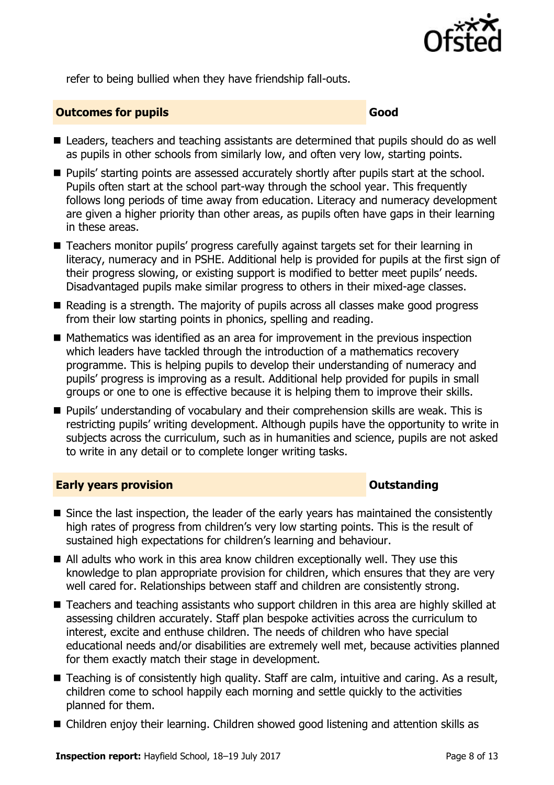

refer to being bullied when they have friendship fall-outs.

## **Outcomes for pupils Good Good**

- Leaders, teachers and teaching assistants are determined that pupils should do as well as pupils in other schools from similarly low, and often very low, starting points.
- **Pupils' starting points are assessed accurately shortly after pupils start at the school.** Pupils often start at the school part-way through the school year. This frequently follows long periods of time away from education. Literacy and numeracy development are given a higher priority than other areas, as pupils often have gaps in their learning in these areas.
- Teachers monitor pupils' progress carefully against targets set for their learning in literacy, numeracy and in PSHE. Additional help is provided for pupils at the first sign of their progress slowing, or existing support is modified to better meet pupils' needs. Disadvantaged pupils make similar progress to others in their mixed-age classes.
- Reading is a strength. The majority of pupils across all classes make good progress from their low starting points in phonics, spelling and reading.
- $\blacksquare$  Mathematics was identified as an area for improvement in the previous inspection which leaders have tackled through the introduction of a mathematics recovery programme. This is helping pupils to develop their understanding of numeracy and pupils' progress is improving as a result. Additional help provided for pupils in small groups or one to one is effective because it is helping them to improve their skills.
- **Pupils' understanding of vocabulary and their comprehension skills are weak. This is** restricting pupils' writing development. Although pupils have the opportunity to write in subjects across the curriculum, such as in humanities and science, pupils are not asked to write in any detail or to complete longer writing tasks.

### **Early years provision CONSTANDING TO A RESERVE THE SERVE TO A RESERVE THE SERVE TO A RESERVE THE SERVE TO A RESERVE THE SERVE TO A RESERVE THE SERVE TO A RESERVE THE SERVE TO A RESERVE THE SERVE TO A RESERVE THE SERVE T**

- Since the last inspection, the leader of the early years has maintained the consistently high rates of progress from children's very low starting points. This is the result of sustained high expectations for children's learning and behaviour.
- $\blacksquare$  All adults who work in this area know children exceptionally well. They use this knowledge to plan appropriate provision for children, which ensures that they are very well cared for. Relationships between staff and children are consistently strong.
- Teachers and teaching assistants who support children in this area are highly skilled at assessing children accurately. Staff plan bespoke activities across the curriculum to interest, excite and enthuse children. The needs of children who have special educational needs and/or disabilities are extremely well met, because activities planned for them exactly match their stage in development.
- Teaching is of consistently high quality. Staff are calm, intuitive and caring. As a result, children come to school happily each morning and settle quickly to the activities planned for them.
- Children enjoy their learning. Children showed good listening and attention skills as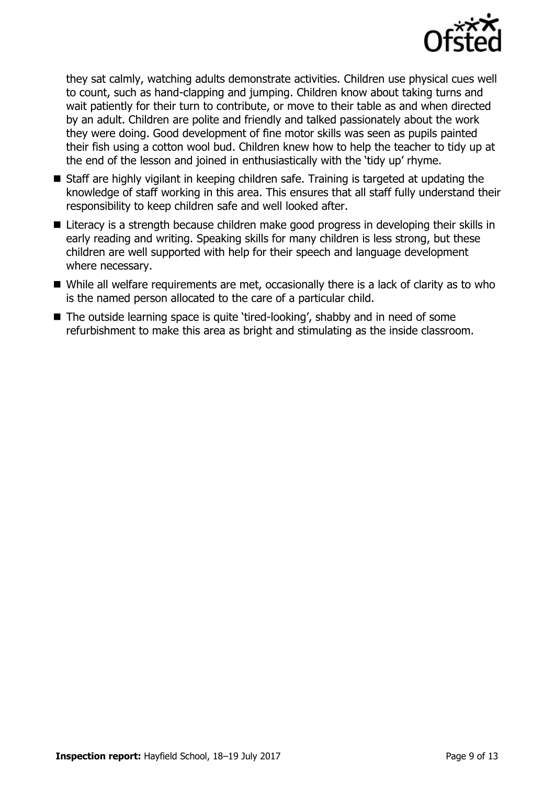

they sat calmly, watching adults demonstrate activities. Children use physical cues well to count, such as hand-clapping and jumping. Children know about taking turns and wait patiently for their turn to contribute, or move to their table as and when directed by an adult. Children are polite and friendly and talked passionately about the work they were doing. Good development of fine motor skills was seen as pupils painted their fish using a cotton wool bud. Children knew how to help the teacher to tidy up at the end of the lesson and joined in enthusiastically with the 'tidy up' rhyme.

- Staff are highly vigilant in keeping children safe. Training is targeted at updating the knowledge of staff working in this area. This ensures that all staff fully understand their responsibility to keep children safe and well looked after.
- Literacy is a strength because children make good progress in developing their skills in early reading and writing. Speaking skills for many children is less strong, but these children are well supported with help for their speech and language development where necessary.
- While all welfare requirements are met, occasionally there is a lack of clarity as to who is the named person allocated to the care of a particular child.
- The outside learning space is quite 'tired-looking', shabby and in need of some refurbishment to make this area as bright and stimulating as the inside classroom.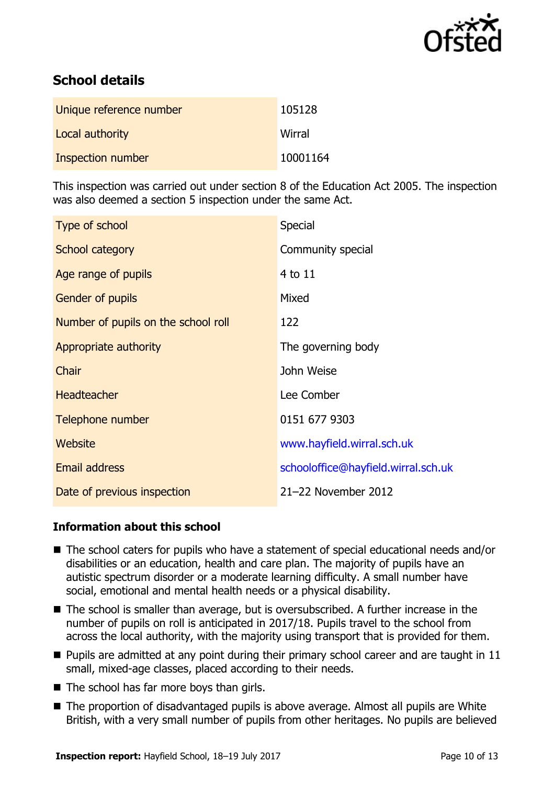

# **School details**

| Unique reference number | 105128   |
|-------------------------|----------|
| Local authority         | Wirral   |
| Inspection number       | 10001164 |

This inspection was carried out under section 8 of the Education Act 2005. The inspection was also deemed a section 5 inspection under the same Act.

| Type of school                      | <b>Special</b>                      |
|-------------------------------------|-------------------------------------|
| School category                     | Community special                   |
| Age range of pupils                 | $4$ to $11$                         |
| Gender of pupils                    | Mixed                               |
| Number of pupils on the school roll | 122                                 |
| Appropriate authority               | The governing body                  |
| Chair                               | John Weise                          |
| <b>Headteacher</b>                  | Lee Comber                          |
| Telephone number                    | 0151 677 9303                       |
| Website                             | www.hayfield.wirral.sch.uk          |
| <b>Email address</b>                | schooloffice@hayfield.wirral.sch.uk |
| Date of previous inspection         | 21-22 November 2012                 |

# **Information about this school**

- The school caters for pupils who have a statement of special educational needs and/or disabilities or an education, health and care plan. The majority of pupils have an autistic spectrum disorder or a moderate learning difficulty. A small number have social, emotional and mental health needs or a physical disability.
- The school is smaller than average, but is oversubscribed. A further increase in the number of pupils on roll is anticipated in 2017/18. Pupils travel to the school from across the local authority, with the majority using transport that is provided for them.
- $\blacksquare$  Pupils are admitted at any point during their primary school career and are taught in 11 small, mixed-age classes, placed according to their needs.
- The school has far more boys than girls.
- The proportion of disadvantaged pupils is above average. Almost all pupils are White British, with a very small number of pupils from other heritages. No pupils are believed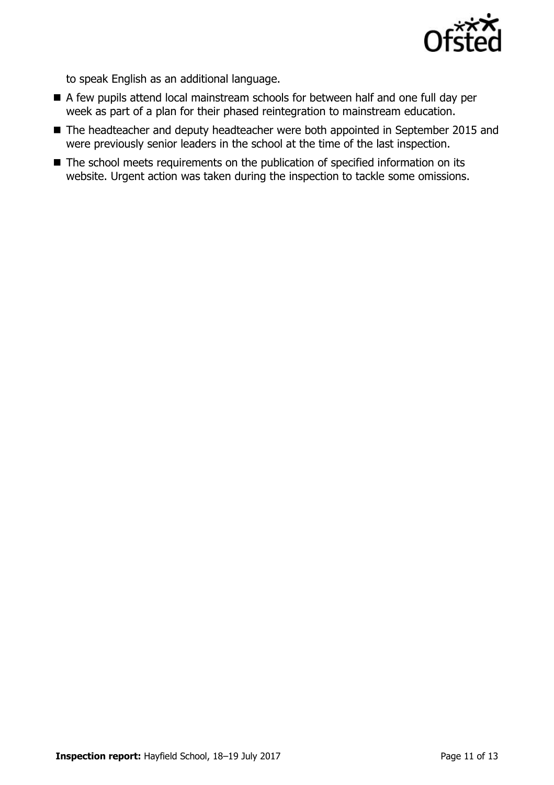

to speak English as an additional language.

- A few pupils attend local mainstream schools for between half and one full day per week as part of a plan for their phased reintegration to mainstream education.
- The headteacher and deputy headteacher were both appointed in September 2015 and were previously senior leaders in the school at the time of the last inspection.
- The school meets requirements on the publication of specified information on its website. Urgent action was taken during the inspection to tackle some omissions.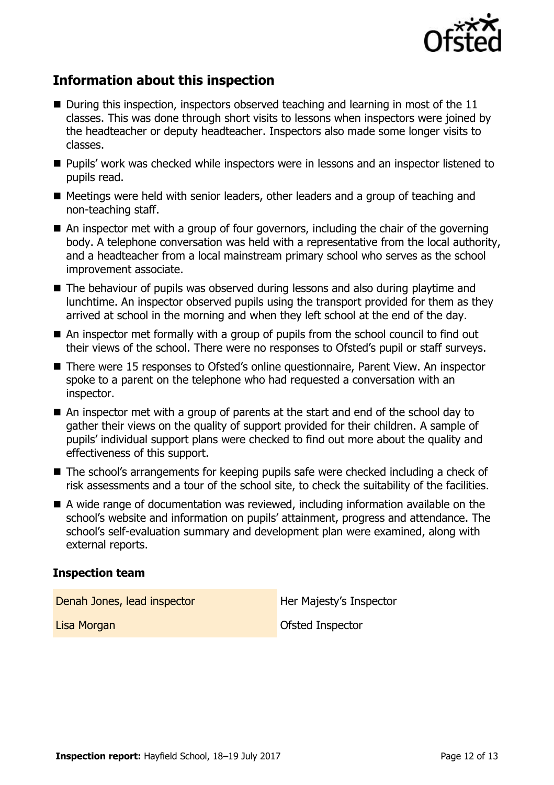

# **Information about this inspection**

- $\blacksquare$  During this inspection, inspectors observed teaching and learning in most of the 11 classes. This was done through short visits to lessons when inspectors were joined by the headteacher or deputy headteacher. Inspectors also made some longer visits to classes.
- Pupils' work was checked while inspectors were in lessons and an inspector listened to pupils read.
- Meetings were held with senior leaders, other leaders and a group of teaching and non-teaching staff.
- An inspector met with a group of four governors, including the chair of the governing body. A telephone conversation was held with a representative from the local authority, and a headteacher from a local mainstream primary school who serves as the school improvement associate.
- The behaviour of pupils was observed during lessons and also during playtime and lunchtime. An inspector observed pupils using the transport provided for them as they arrived at school in the morning and when they left school at the end of the day.
- An inspector met formally with a group of pupils from the school council to find out their views of the school. There were no responses to Ofsted's pupil or staff surveys.
- There were 15 responses to Ofsted's online questionnaire, Parent View. An inspector spoke to a parent on the telephone who had requested a conversation with an inspector.
- An inspector met with a group of parents at the start and end of the school day to gather their views on the quality of support provided for their children. A sample of pupils' individual support plans were checked to find out more about the quality and effectiveness of this support.
- The school's arrangements for keeping pupils safe were checked including a check of risk assessments and a tour of the school site, to check the suitability of the facilities.
- A wide range of documentation was reviewed, including information available on the school's website and information on pupils' attainment, progress and attendance. The school's self-evaluation summary and development plan were examined, along with external reports.

### **Inspection team**

Denah Jones, lead inspector **Her Majesty's Inspector Lisa Morgan Community Community Community** Construction Construction Construction Construction Construction Community Construction Construction Community Construction Construction Community Construction Community Communit